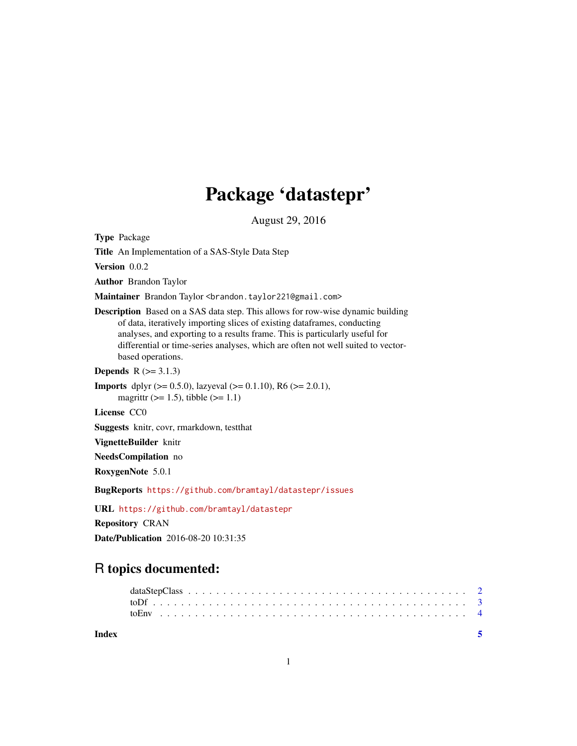## Package 'datastepr'

August 29, 2016

<span id="page-0-0"></span>Type Package

Title An Implementation of a SAS-Style Data Step

Version 0.0.2

Author Brandon Taylor

Maintainer Brandon Taylor <br />brandon.taylor221@gmail.com>

Description Based on a SAS data step. This allows for row-wise dynamic building of data, iteratively importing slices of existing dataframes, conducting analyses, and exporting to a results frame. This is particularly useful for differential or time-series analyses, which are often not well suited to vectorbased operations.

**Depends**  $R$  ( $>= 3.1.3$ )

```
Imports dplyr (>= 0.5.0), lazyeval (>= 0.1.10), R6 (>= 2.0.1),
      magrittr (>= 1.5), tibble (>= 1.1)
```
License CC0

Suggests knitr, covr, rmarkdown, testthat

VignetteBuilder knitr

NeedsCompilation no

RoxygenNote 5.0.1

BugReports <https://github.com/bramtayl/datastepr/issues>

URL <https://github.com/bramtayl/datastepr>

Repository CRAN

Date/Publication 2016-08-20 10:31:35

### R topics documented:

| Index |  |  |  |  |  |  |  |  |  |  |  |  |  |  |  |  |  |  |  |
|-------|--|--|--|--|--|--|--|--|--|--|--|--|--|--|--|--|--|--|--|
|       |  |  |  |  |  |  |  |  |  |  |  |  |  |  |  |  |  |  |  |
|       |  |  |  |  |  |  |  |  |  |  |  |  |  |  |  |  |  |  |  |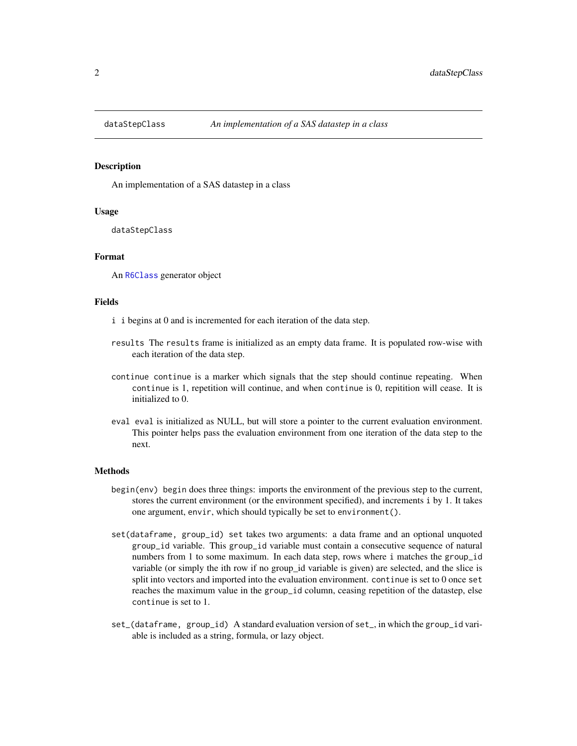<span id="page-1-0"></span>

#### Description

An implementation of a SAS datastep in a class

#### Usage

dataStepClass

#### Format

An [R6Class](#page-0-0) generator object

#### Fields

- i i begins at 0 and is incremented for each iteration of the data step.
- results The results frame is initialized as an empty data frame. It is populated row-wise with each iteration of the data step.
- continue continue is a marker which signals that the step should continue repeating. When continue is 1, repetition will continue, and when continue is 0, repitition will cease. It is initialized to 0.
- eval eval is initialized as NULL, but will store a pointer to the current evaluation environment. This pointer helps pass the evaluation environment from one iteration of the data step to the next.

#### Methods

- begin(env) begin does three things: imports the environment of the previous step to the current, stores the current environment (or the environment specified), and increments i by 1. It takes one argument, envir, which should typically be set to environment().
- set(dataframe, group\_id) set takes two arguments: a data frame and an optional unquoted group\_id variable. This group\_id variable must contain a consecutive sequence of natural numbers from 1 to some maximum. In each data step, rows where i matches the group\_id variable (or simply the ith row if no group\_id variable is given) are selected, and the slice is split into vectors and imported into the evaluation environment. continue is set to 0 once set reaches the maximum value in the group\_id column, ceasing repetition of the datastep, else continue is set to 1.
- set\_(dataframe, group\_id) A standard evaluation version of set\_, in which the group\_id variable is included as a string, formula, or lazy object.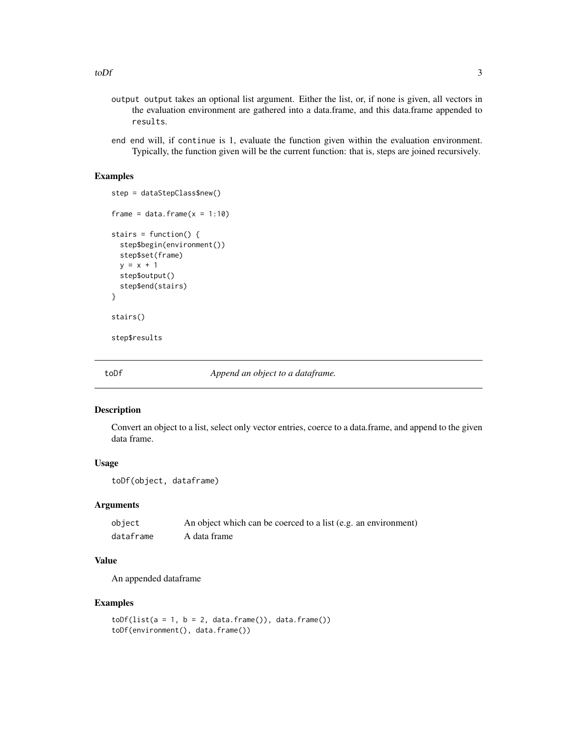- <span id="page-2-0"></span>output output takes an optional list argument. Either the list, or, if none is given, all vectors in the evaluation environment are gathered into a data.frame, and this data.frame appended to results.
- end end will, if continue is 1, evaluate the function given within the evaluation environment. Typically, the function given will be the current function: that is, steps are joined recursively.

#### Examples

```
step = dataStepClass$new()
frame = data.frame(x = 1:10)stairs = function() {
 step$begin(environment())
 step$set(frame)
 y = x + 1step$output()
 step$end(stairs)
}
stairs()
step$results
```
toDf *Append an object to a dataframe.*

#### Description

Convert an object to a list, select only vector entries, coerce to a data.frame, and append to the given data frame.

#### Usage

```
toDf(object, dataframe)
```
#### **Arguments**

| object    | An object which can be coerced to a list (e.g. an environment) |
|-----------|----------------------------------------------------------------|
| dataframe | A data frame                                                   |

#### Value

An appended dataframe

#### Examples

```
toDf(list(a = 1, b = 2, data frame()); data frame())toDf(environment(), data.frame())
```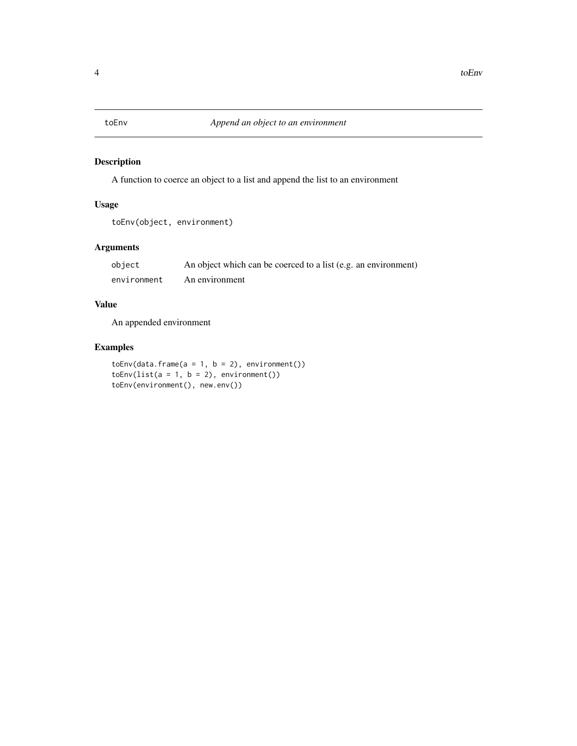<span id="page-3-0"></span>

#### Description

A function to coerce an object to a list and append the list to an environment

#### Usage

```
toEnv(object, environment)
```
#### Arguments

| object      | An object which can be coerced to a list (e.g. an environment) |
|-------------|----------------------------------------------------------------|
| environment | An environment                                                 |

#### Value

An appended environment

#### Examples

 $toEnv(data-frame(a = 1, b = 2), environment())$  $toEnv(list(a = 1, b = 2), environment())$ toEnv(environment(), new.env())